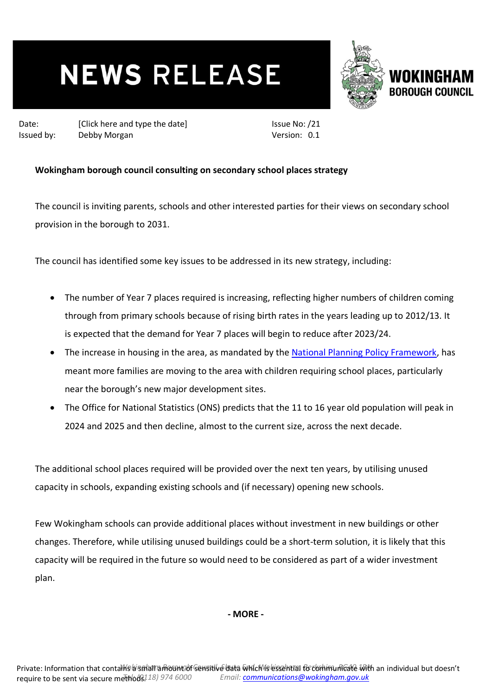## **NEWS RELEASE**



Date: [Click here and type the date] Issued by: Debby Morgan

Issue No: /21 Version: 0.1

## **Wokingham borough council consulting on secondary school places strategy**

The council is inviting parents, schools and other interested parties for their views on secondary school provision in the borough to 2031.

The council has identified some key issues to be addressed in its new strategy, including:

- The number of Year 7 places required is increasing, reflecting higher numbers of children coming through from primary schools because of rising birth rates in the years leading up to 2012/13. It is expected that the demand for Year 7 places will begin to reduce after 2023/24.
- The increase in housing in the area, as mandated by the [National Planning Policy Framework,](https://www.gov.uk/government/publications/national-planning-policy-framework--2) has meant more families are moving to the area with children requiring school places, particularly near the borough's new major development sites.
- The Office for National Statistics (ONS) predicts that the 11 to 16 year old population will peak in 2024 and 2025 and then decline, almost to the current size, across the next decade.

The additional school places required will be provided over the next ten years, by utilising unused capacity in schools, expanding existing schools and (if necessary) opening new schools.

Few Wokingham schools can provide additional places without investment in new buildings or other changes. Therefore, while utilising unused buildings could be a short-term solution, it is likely that this capacity will be required in the future so would need to be considered as part of a wider investment plan.

**- MORE -**